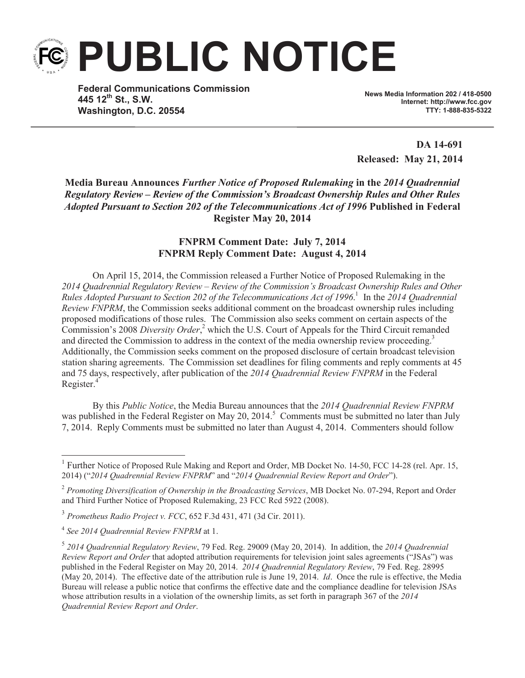**PUBLIC NOTICE**

**Federal Communications Commission 445 12th St., S.W. Washington, D.C. 20554**

**News Media Information 202 / 418-0500 Internet: http://www.fcc.gov TTY: 1-888-835-5322**

**DA 14-691 Released: May 21, 2014**

**Media Bureau Announces** *Further Notice of Proposed Rulemaking* **in the** *2014 Quadrennial Regulatory Review – Review of the Commission's Broadcast Ownership Rules and Other Rules Adopted Pursuant to Section 202 of the Telecommunications Act of 1996* **Published in Federal Register May 20, 2014**

## **FNPRM Comment Date: July 7, 2014 FNPRM Reply Comment Date: August 4, 2014**

On April 15, 2014, the Commission released a Further Notice of Proposed Rulemaking in the *2014 Quadrennial Regulatory Review – Review of the Commission's Broadcast Ownership Rules and Other Rules Adopted Pursuant to Section 202 of the Telecommunications Act of 1996*. 1 In the *2014 Quadrennial Review FNPRM*, the Commission seeks additional comment on the broadcast ownership rules including proposed modifications of those rules. The Commission also seeks comment on certain aspects of the Commission's 2008 *Diversity Order*, <sup>2</sup> which the U.S. Court of Appeals for the Third Circuit remanded and directed the Commission to address in the context of the media ownership review proceeding.<sup>3</sup> Additionally, the Commission seeks comment on the proposed disclosure of certain broadcast television station sharing agreements. The Commission set deadlines for filing comments and reply comments at 45 and 75 days, respectively, after publication of the *2014 Quadrennial Review FNPRM* in the Federal Register.<sup>4</sup>

By this *Public Notice*, the Media Bureau announces that the *2014 Quadrennial Review FNPRM* was published in the Federal Register on May 20, 2014.<sup>5</sup> Comments must be submitted no later than July 7, 2014. Reply Comments must be submitted no later than August 4, 2014. Commenters should follow

<sup>&</sup>lt;sup>1</sup> Further Notice of Proposed Rule Making and Report and Order, MB Docket No. 14-50, FCC 14-28 (rel. Apr. 15, 2014) ("*2014 Quadrennial Review FNPRM*" and "*2014 Quadrennial Review Report and Order*").

<sup>2</sup> *Promoting Diversification of Ownership in the Broadcasting Services*, MB Docket No. 07-294, Report and Order and Third Further Notice of Proposed Rulemaking, 23 FCC Rcd 5922 (2008).

<sup>3</sup> *Prometheus Radio Project v. FCC*, 652 F.3d 431, 471 (3d Cir. 2011).

<sup>4</sup> *See 2014 Quadrennial Review FNPRM* at 1.

<sup>5</sup> *2014 Quadrennial Regulatory Review*, 79 Fed. Reg. 29009 (May 20, 2014). In addition, the *2014 Quadrennial Review Report and Order* that adopted attribution requirements for television joint sales agreements ("JSAs") was published in the Federal Register on May 20, 2014. *2014 Quadrennial Regulatory Review*, 79 Fed. Reg. 28995 (May 20, 2014). The effective date of the attribution rule is June 19, 2014. *Id*. Once the rule is effective, the Media Bureau will release a public notice that confirms the effective date and the compliance deadline for television JSAs whose attribution results in a violation of the ownership limits, as set forth in paragraph 367 of the *2014 Quadrennial Review Report and Order*.